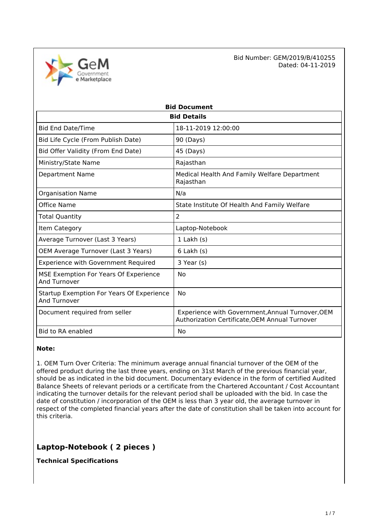e Marketplace

 Bid Number: GEM/2019/B/410255 Dated: 04-11-2019

| <b>Bid Document</b>                                              |                                                                                                    |  |  |
|------------------------------------------------------------------|----------------------------------------------------------------------------------------------------|--|--|
| <b>Bid Details</b>                                               |                                                                                                    |  |  |
| <b>Bid End Date/Time</b>                                         | 18-11-2019 12:00:00                                                                                |  |  |
| Bid Life Cycle (From Publish Date)                               | 90 (Days)                                                                                          |  |  |
| Bid Offer Validity (From End Date)                               | 45 (Days)                                                                                          |  |  |
| Ministry/State Name                                              | Rajasthan                                                                                          |  |  |
| <b>Department Name</b>                                           | Medical Health And Family Welfare Department<br>Rajasthan                                          |  |  |
| <b>Organisation Name</b>                                         | N/a                                                                                                |  |  |
| Office Name                                                      | State Institute Of Health And Family Welfare                                                       |  |  |
| Total Quantity                                                   | 2                                                                                                  |  |  |
| Item Category                                                    | Laptop-Notebook                                                                                    |  |  |
| Average Turnover (Last 3 Years)                                  | $1$ Lakh $(s)$                                                                                     |  |  |
| OEM Average Turnover (Last 3 Years)                              | $6$ Lakh $(s)$                                                                                     |  |  |
| <b>Experience with Government Required</b>                       | 3 Year (s)                                                                                         |  |  |
| MSE Exemption For Years Of Experience<br>And Turnover            | No                                                                                                 |  |  |
| Startup Exemption For Years Of Experience<br><b>And Turnover</b> | No                                                                                                 |  |  |
| Document required from seller                                    | Experience with Government, Annual Turnover, OEM<br>Authorization Certificate, OEM Annual Turnover |  |  |
| Bid to RA enabled                                                | No                                                                                                 |  |  |

#### **Note:**

1. OEM Turn Over Criteria: The minimum average annual financial turnover of the OEM of the offered product during the last three years, ending on 31st March of the previous financial year, should be as indicated in the bid document. Documentary evidence in the form of certified Audited Balance Sheets of relevant periods or a certificate from the Chartered Accountant / Cost Accountant indicating the turnover details for the relevant period shall be uploaded with the bid. In case the date of constitution / incorporation of the OEM is less than 3 year old, the average turnover in respect of the completed financial years after the date of constitution shall be taken into account for this criteria.

# **Laptop-Notebook ( 2 pieces )**

**Technical Specifications**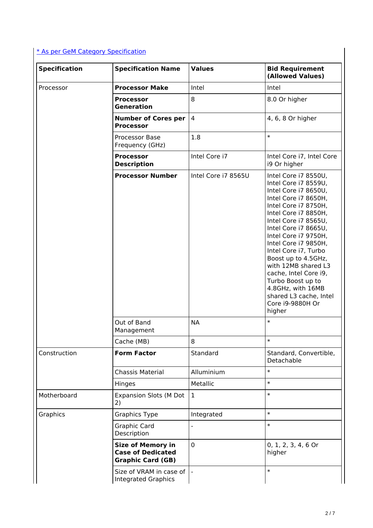# [\\* As per GeM Category Specification](https://bidplus.gem.gov.in/bidding/bid/showCatalogue/q-2wxIUzmfYVPZDCQNaj5hYkoCBmq2kdlA9SWZG6uZE)

| <b>Specification</b> | <b>Specification Name</b>                                                        | <b>Values</b>       | <b>Bid Requirement</b><br>(Allowed Values)                                                                                                                                                                                                                                                                                                                                                                                                    |
|----------------------|----------------------------------------------------------------------------------|---------------------|-----------------------------------------------------------------------------------------------------------------------------------------------------------------------------------------------------------------------------------------------------------------------------------------------------------------------------------------------------------------------------------------------------------------------------------------------|
| Processor            | <b>Processor Make</b>                                                            | Intel               | Intel                                                                                                                                                                                                                                                                                                                                                                                                                                         |
|                      | <b>Processor</b><br><b>Generation</b>                                            | 8                   | 8.0 Or higher                                                                                                                                                                                                                                                                                                                                                                                                                                 |
|                      | <b>Number of Cores per</b><br><b>Processor</b>                                   | $\overline{4}$      | 4, 6, 8 Or higher                                                                                                                                                                                                                                                                                                                                                                                                                             |
|                      | Processor Base<br>Frequency (GHz)                                                | 1.8                 | $\ast$                                                                                                                                                                                                                                                                                                                                                                                                                                        |
|                      | <b>Processor</b><br><b>Description</b>                                           | Intel Core i7       | Intel Core i7, Intel Core<br>i9 Or higher                                                                                                                                                                                                                                                                                                                                                                                                     |
|                      | <b>Processor Number</b>                                                          | Intel Core i7 8565U | Intel Core i7 8550U,<br>Intel Core i7 8559U,<br>Intel Core i7 8650U,<br>Intel Core i7 8650H,<br>Intel Core i7 8750H,<br>Intel Core i7 8850H,<br>Intel Core i7 8565U,<br>Intel Core i7 8665U,<br>Intel Core i7 9750H,<br>Intel Core i7 9850H,<br>Intel Core i7, Turbo<br>Boost up to 4.5GHz,<br>with 12MB shared L3<br>cache, Intel Core i9,<br>Turbo Boost up to<br>4.8GHz, with 16MB<br>shared L3 cache, Intel<br>Core i9-9880H Or<br>higher |
|                      | Out of Band<br>Management                                                        | <b>NA</b>           | $\ast$                                                                                                                                                                                                                                                                                                                                                                                                                                        |
|                      | Cache (MB)                                                                       | 8                   | $\ast$                                                                                                                                                                                                                                                                                                                                                                                                                                        |
| Construction         | <b>Form Factor</b>                                                               | Standard            | Standard, Convertible,<br>Detachable                                                                                                                                                                                                                                                                                                                                                                                                          |
|                      | <b>Chassis Material</b>                                                          | Alluminium          | $\ast$                                                                                                                                                                                                                                                                                                                                                                                                                                        |
|                      | Hinges                                                                           | Metallic            | $\ast$                                                                                                                                                                                                                                                                                                                                                                                                                                        |
| Motherboard          | <b>Expansion Slots (M Dot</b><br>2)                                              | $\mathbf{1}$        | $\ast$                                                                                                                                                                                                                                                                                                                                                                                                                                        |
| Graphics             | <b>Graphics Type</b>                                                             | Integrated          | $\ast$                                                                                                                                                                                                                                                                                                                                                                                                                                        |
|                      | <b>Graphic Card</b><br>Description                                               |                     | $\ast$                                                                                                                                                                                                                                                                                                                                                                                                                                        |
|                      | <b>Size of Memory in</b><br><b>Case of Dedicated</b><br><b>Graphic Card (GB)</b> | 0                   | 0, 1, 2, 3, 4, 6 Or<br>higher                                                                                                                                                                                                                                                                                                                                                                                                                 |
|                      | Size of VRAM in case of<br><b>Integrated Graphics</b>                            | $\blacksquare$      | $\ast$                                                                                                                                                                                                                                                                                                                                                                                                                                        |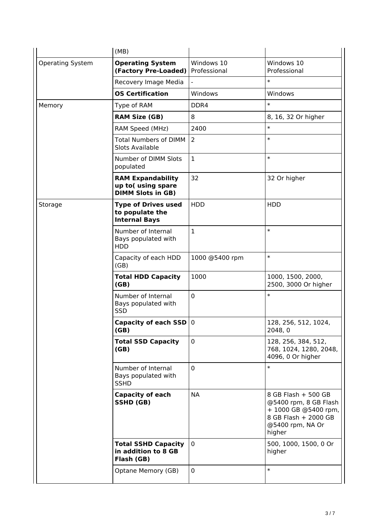|                         | (MB)                                                                      |                            |                                                                                                                            |
|-------------------------|---------------------------------------------------------------------------|----------------------------|----------------------------------------------------------------------------------------------------------------------------|
| <b>Operating System</b> | <b>Operating System</b><br>(Factory Pre-Loaded)                           | Windows 10<br>Professional | Windows 10<br>Professional                                                                                                 |
|                         | Recovery Image Media                                                      |                            | $\ast$                                                                                                                     |
|                         | <b>OS Certification</b>                                                   | Windows                    | Windows                                                                                                                    |
| Memory                  | Type of RAM                                                               | DDR4                       | $\ast$                                                                                                                     |
|                         | <b>RAM Size (GB)</b>                                                      | 8                          | 8, 16, 32 Or higher                                                                                                        |
|                         | RAM Speed (MHz)                                                           | 2400                       | $\ast$                                                                                                                     |
|                         | <b>Total Numbers of DIMM</b><br><b>Slots Available</b>                    | 2                          | $\ast$                                                                                                                     |
|                         | Number of DIMM Slots<br>populated                                         | $\mathbf 1$                | $\ast$                                                                                                                     |
|                         | <b>RAM Expandability</b><br>up to(using spare<br><b>DIMM Slots in GB)</b> | 32                         | 32 Or higher                                                                                                               |
| Storage                 | <b>Type of Drives used</b><br>to populate the<br><b>Internal Bays</b>     | <b>HDD</b>                 | <b>HDD</b>                                                                                                                 |
|                         | Number of Internal<br>Bays populated with<br><b>HDD</b>                   | $\mathbf{1}$               | $\ast$                                                                                                                     |
|                         | Capacity of each HDD<br>(GB)                                              | 1000 @5400 rpm             | $\ast$                                                                                                                     |
|                         | <b>Total HDD Capacity</b><br>(GB)                                         | 1000                       | 1000, 1500, 2000,<br>2500, 3000 Or higher                                                                                  |
|                         | Number of Internal<br>Bays populated with<br>SSD                          | 0                          | $\ast$                                                                                                                     |
|                         | <b>Capacity of each SSD</b><br>(GB)                                       | $\mathbf 0$                | 128, 256, 512, 1024,<br>2048, 0                                                                                            |
|                         | <b>Total SSD Capacity</b><br>(GB)                                         | $\mathbf 0$                | 128, 256, 384, 512,<br>768, 1024, 1280, 2048,<br>4096, 0 Or higher                                                         |
|                         | Number of Internal<br>Bays populated with<br><b>SSHD</b>                  | 0                          | $\ast$                                                                                                                     |
|                         | <b>Capacity of each</b><br>SSHD (GB)                                      | <b>NA</b>                  | 8 GB Flash + 500 GB<br>@5400 rpm, 8 GB Flash<br>+ 1000 GB @5400 rpm,<br>8 GB Flash + 2000 GB<br>@5400 rpm, NA Or<br>higher |
|                         | <b>Total SSHD Capacity</b><br>in addition to 8 GB<br>Flash (GB)           | 0                          | 500, 1000, 1500, 0 Or<br>higher                                                                                            |
|                         | Optane Memory (GB)                                                        | 0                          | $\ast$                                                                                                                     |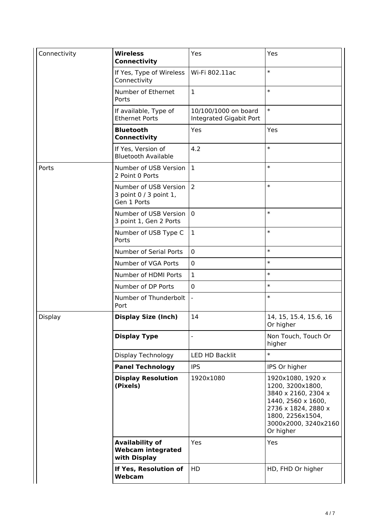| Connectivity   | <b>Wireless</b><br><b>Connectivity</b>                             | Yes                                             | Yes                                                                                                                                                                |
|----------------|--------------------------------------------------------------------|-------------------------------------------------|--------------------------------------------------------------------------------------------------------------------------------------------------------------------|
|                | If Yes, Type of Wireless<br>Connectivity                           | Wi-Fi 802.11ac                                  | $\ast$                                                                                                                                                             |
|                | Number of Ethernet<br>Ports                                        | $\mathbf{1}$                                    | $\ast$                                                                                                                                                             |
|                | If available, Type of<br><b>Ethernet Ports</b>                     | 10/100/1000 on board<br>Integrated Gigabit Port | $\ast$                                                                                                                                                             |
|                | <b>Bluetooth</b><br><b>Connectivity</b>                            | Yes                                             | Yes                                                                                                                                                                |
|                | If Yes, Version of<br><b>Bluetooth Available</b>                   | 4.2                                             | $\ast$                                                                                                                                                             |
| Ports          | Number of USB Version<br>2 Point 0 Ports                           | $\mathbf{1}$                                    | $\ast$                                                                                                                                                             |
|                | Number of USB Version<br>3 point 0 / 3 point 1,<br>Gen 1 Ports     | $\overline{2}$                                  | $\ast$                                                                                                                                                             |
|                | Number of USB Version<br>3 point 1, Gen 2 Ports                    | $\mathbf 0$                                     | $\ast$                                                                                                                                                             |
|                | Number of USB Type C<br>Ports                                      | $\mathbf{1}$                                    | $\ast$                                                                                                                                                             |
|                | Number of Serial Ports                                             | $\mathbf 0$                                     | $\ast$                                                                                                                                                             |
|                | Number of VGA Ports                                                | $\mathbf 0$                                     | $\ast$                                                                                                                                                             |
|                | Number of HDMI Ports                                               | $\mathbf{1}$                                    | $\ast$                                                                                                                                                             |
|                | Number of DP Ports                                                 | $\mathbf 0$                                     | $\ast$                                                                                                                                                             |
|                | Number of Thunderbolt<br>Port                                      | $\bar{\phantom{a}}$                             | $\ast$                                                                                                                                                             |
| <b>Display</b> | <b>Display Size (Inch)</b>                                         | 14                                              | 14, 15, 15.4, 15.6, 16<br>Or higher                                                                                                                                |
|                | <b>Display Type</b>                                                |                                                 | Non Touch, Touch Or<br>higher                                                                                                                                      |
|                | Display Technology                                                 | LED HD Backlit                                  | $\ast$                                                                                                                                                             |
|                | <b>Panel Technology</b>                                            | <b>IPS</b>                                      | IPS Or higher                                                                                                                                                      |
|                | <b>Display Resolution</b><br>(Pixels)                              | 1920x1080                                       | 1920x1080, 1920 x<br>1200, 3200x1800,<br>3840 x 2160, 2304 x<br>1440, 2560 x 1600,<br>2736 x 1824, 2880 x<br>1800, 2256x1504,<br>3000x2000, 3240x2160<br>Or higher |
|                | <b>Availability of</b><br><b>Webcam integrated</b><br>with Display | Yes                                             | Yes                                                                                                                                                                |
|                | If Yes, Resolution of<br>Webcam                                    | HD                                              | HD, FHD Or higher                                                                                                                                                  |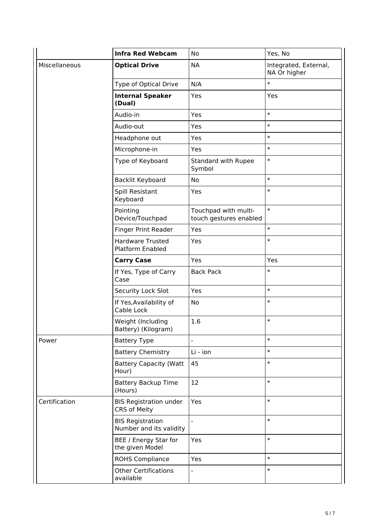|               | <b>Infra Red Webcam</b>                              | No                                             | Yes, No                               |
|---------------|------------------------------------------------------|------------------------------------------------|---------------------------------------|
| Miscellaneous | <b>Optical Drive</b>                                 | <b>NA</b>                                      | Integrated, External,<br>NA Or higher |
|               | Type of Optical Drive                                | N/A                                            | $\ast$                                |
|               | <b>Internal Speaker</b><br>(Dual)                    | Yes                                            | Yes                                   |
|               | Audio-in                                             | Yes                                            | $\ast$                                |
|               | Audio-out                                            | Yes                                            | $\ast$                                |
|               | Headphone out                                        | Yes                                            | $\ast$                                |
|               | Microphone-in                                        | Yes                                            | $\ast$                                |
|               | Type of Keyboard                                     | <b>Standard with Rupee</b><br>Symbol           | $\ast$                                |
|               | Backlit Keyboard                                     | No                                             | $\ast$                                |
|               | Spill Resistant<br>Keyboard                          | Yes                                            | $\ast$                                |
|               | Pointing<br>Device/Touchpad                          | Touchpad with multi-<br>touch gestures enabled | $\ast$                                |
|               | <b>Finger Print Reader</b>                           | Yes                                            | $\ast$                                |
|               | <b>Hardware Trusted</b><br>Platform Enabled          | Yes                                            | $\ast$                                |
|               | <b>Carry Case</b>                                    | Yes                                            | Yes                                   |
|               | If Yes, Type of Carry<br>Case                        | <b>Back Pack</b>                               | $\ast$                                |
|               | Security Lock Slot                                   | Yes                                            | $\ast$                                |
|               | If Yes, Availability of<br>Cable Lock                | No                                             | $\ast$                                |
|               | Weight (Including<br>Battery) (Kilogram)             | 1.6                                            | $\ast$                                |
| Power         | <b>Battery Type</b>                                  | -                                              | $\ast$                                |
|               | <b>Battery Chemistry</b>                             | Li - ion                                       | $\ast$                                |
|               | <b>Battery Capacity (Watt</b><br>Hour)               | 45                                             | $\ast$                                |
|               | <b>Battery Backup Time</b><br>(Hours)                | 12                                             | $\ast$                                |
| Certification | <b>BIS Registration under</b><br><b>CRS of Meity</b> | Yes                                            | $\ast$                                |
|               | <b>BIS Registration</b><br>Number and its validity   | $\overline{\phantom{a}}$                       | $\ast$                                |
|               | BEE / Energy Star for<br>the given Model             | Yes                                            | $\ast$                                |
|               | <b>ROHS Compliance</b>                               | Yes                                            | $\ast$                                |
|               | <b>Other Certifications</b><br>available             | -                                              | $\ast$                                |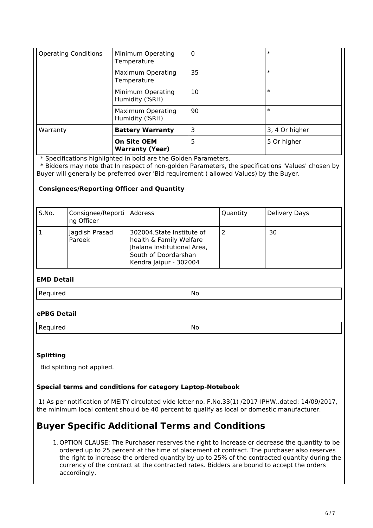| <b>Operating Conditions</b> | Minimum Operating<br>Temperature             | 0  | $\ast$         |
|-----------------------------|----------------------------------------------|----|----------------|
|                             | <b>Maximum Operating</b><br>Temperature      | 35 | $\ast$         |
|                             | Minimum Operating<br>Humidity (%RH)          | 10 | $\ast$         |
|                             | <b>Maximum Operating</b><br>Humidity (%RH)   | 90 | $\ast$         |
| Warranty                    | <b>Battery Warranty</b>                      | 3  | 3, 4 Or higher |
|                             | <b>On Site OEM</b><br><b>Warranty (Year)</b> | 5  | 5 Or higher    |

\* Specifications highlighted in bold are the Golden Parameters.

 \* Bidders may note that In respect of non-golden Parameters, the specifications 'Values' chosen by Buyer will generally be preferred over 'Bid requirement ( allowed Values) by the Buyer.

## **Consignees/Reporting Officer and Quantity**

| S.No. | Consignee/Reporti   Address<br>ng Officer |                                                                                                                                        | Quantity | Delivery Days |
|-------|-------------------------------------------|----------------------------------------------------------------------------------------------------------------------------------------|----------|---------------|
|       | Jagdish Prasad<br>Pareek                  | 302004, State Institute of<br>health & Family Welfare<br>Jhalana Institutional Area,<br>South of Doordarshan<br>Kendra Jaipur - 302004 |          | 30            |

#### **EMD Detail**

Required No. 2012 No. 2013 No. 2014 No. 2014 No. 2014 No. 2014 No. 2014 No. 2014 No. 2014 No. 2014 No. 2014 No

# **ePBG Detail**

Required No. 2012 12:20 No. 2012

## **Splitting**

Bid splitting not applied.

## **Special terms and conditions for category Laptop-Notebook**

 1) As per notification of MEITY circulated vide letter no. F.No.33(1) /2017-IPHW..dated: 14/09/2017, the minimum local content should be 40 percent to qualify as local or domestic manufacturer.

# **Buyer Specific Additional Terms and Conditions**

1.OPTION CLAUSE: The Purchaser reserves the right to increase or decrease the quantity to be ordered up to 25 percent at the time of placement of contract. The purchaser also reserves the right to increase the ordered quantity by up to 25% of the contracted quantity during the currency of the contract at the contracted rates. Bidders are bound to accept the orders accordingly.